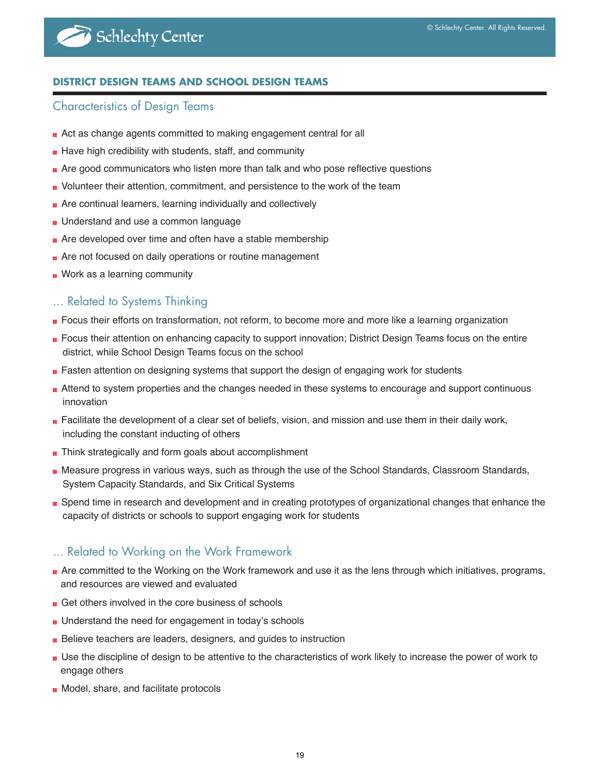# Schlechty Center

#### **DISTRICT DESIGN TEAMS AND SCHOOL DESIGN TEAMS**

#### Characteristics of Design Teams

- Act as change agents committed to making engagement central for all
- Have high credibility with students, staff, and community
- Are good communicators who listen more than talk and who pose reflective questions
- Volunteer their attention, commitment, and persistence to the work of the team
- **Are continual learners, learning individually and collectively**
- **Understand and use a common language**
- **Are developed over time and often have a stable membership**
- **Are not focused on daily operations or routine management**
- **Nork as a learning community**

# ... Related to Systems Thinking

- **Focus their efforts on transformation, not reform, to become more and more like a learning organization**
- Focus their attention on enhancing capacity to support innovation; District Design Teams focus on the entire district, while School Design Teams focus on the school
- **Fasten attention on designing systems that support the design of engaging work for students**
- Attend to system properties and the changes needed in these systems to encourage and support continuous innovation
- **Facilitate the development of a clear set of beliefs, vision, and mission and use them in their daily work,** including the constant inducting of others
- Think strategically and form goals about accomplishment
- Measure progress in various ways, such as through the use of the School Standards, Classroom Standards, System Capacity Standards, and Six Critical Systems
- Spend time in research and development and in creating prototypes of organizational changes that enhance the capacity of districts or schools to support engaging work for students

# ... Related to Working on the Work Framework

- Are committed to the Working on the Work framework and use it as the lens through which initiatives, programs, and resources are viewed and evaluated
- Get others involved in the core business of schools
- Understand the need for engagement in today's schools
- Believe teachers are leaders, designers, and guides to instruction
- Use the discipline of design to be attentive to the characteristics of work likely to increase the power of work to engage others
- Model, share, and facilitate protocols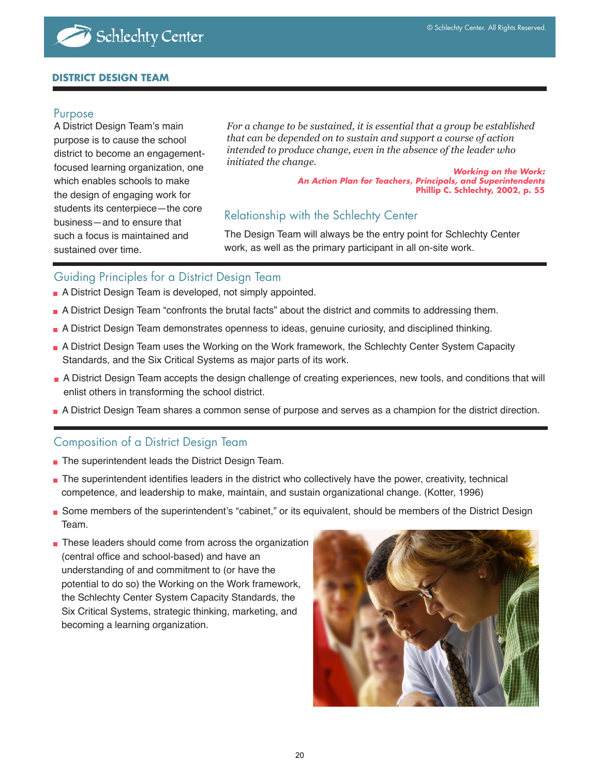#### **DISTRICT DESIGN TEAM**

#### Purpose

A District Design Team's main purpose is to cause the school district to become an engagementfocused learning organization, one which enables schools to make the design of engaging work for students its centerpiece—the core business—and to ensure that such a focus is maintained and sustained over time.

*For a change to be sustained, it is essential that a group be established that can be depended on to sustain and support a course of action intended to produce change, even in the absence of the leader who initiated the change.* 

 **Working on the Work: An Action Plan for Teachers, Principals, and Superintendents Phillip C. Schlechty, 2002, p. 55**

# Relationship with the Schlechty Center

The Design Team will always be the entry point for Schlechty Center work, as well as the primary participant in all on-site work.

#### Guiding Principles for a District Design Team

- A District Design Team is developed, not simply appointed.
- A District Design Team "confronts the brutal facts" about the district and commits to addressing them.
- A District Design Team demonstrates openness to ideas, genuine curiosity, and disciplined thinking.
- A District Design Team uses the Working on the Work framework, the Schlechty Center System Capacity Standards, and the Six Critical Systems as major parts of its work.
- A District Design Team accepts the design challenge of creating experiences, new tools, and conditions that will enlist others in transforming the school district.
- A District Design Team shares a common sense of purpose and serves as a champion for the district direction.

#### Composition of a District Design Team

- The superintendent leads the District Design Team.
- The superintendent identifies leaders in the district who collectively have the power, creativity, technical competence, and leadership to make, maintain, and sustain organizational change. (Kotter, 1996)
- Some members of the superintendent's "cabinet," or its equivalent, should be members of the District Design Team.
- These leaders should come from across the organization (central office and school-based) and have an understanding of and commitment to (or have the potential to do so) the Working on the Work framework, the Schlechty Center System Capacity Standards, the Six Critical Systems, strategic thinking, marketing, and becoming a learning organization.

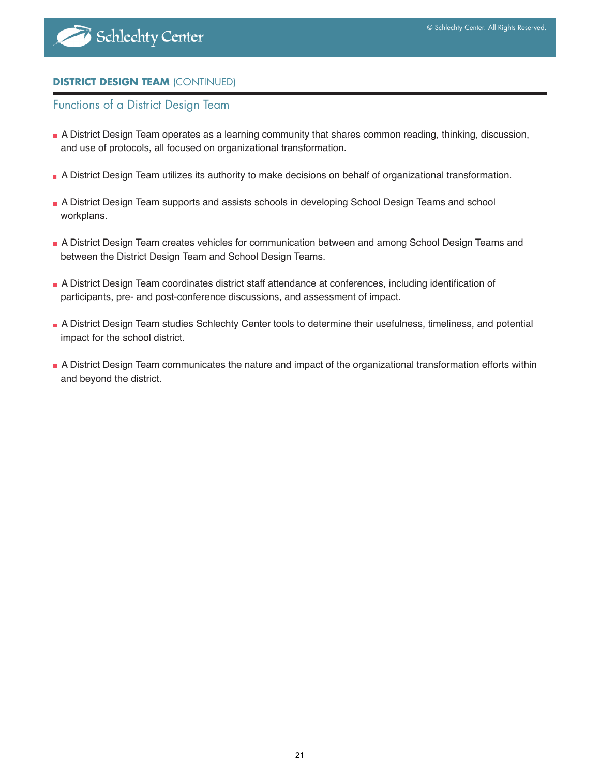## **DISTRICT DESIGN TEAM** (CONTINUED)

#### Functions of a District Design Team

- A District Design Team operates as a learning community that shares common reading, thinking, discussion, and use of protocols, all focused on organizational transformation.
- A District Design Team utilizes its authority to make decisions on behalf of organizational transformation.
- A District Design Team supports and assists schools in developing School Design Teams and school workplans.
- A District Design Team creates vehicles for communication between and among School Design Teams and between the District Design Team and School Design Teams.
- A District Design Team coordinates district staff attendance at conferences, including identification of participants, pre- and post-conference discussions, and assessment of impact.
- A District Design Team studies Schlechty Center tools to determine their usefulness, timeliness, and potential impact for the school district.
- A District Design Team communicates the nature and impact of the organizational transformation efforts within and beyond the district.